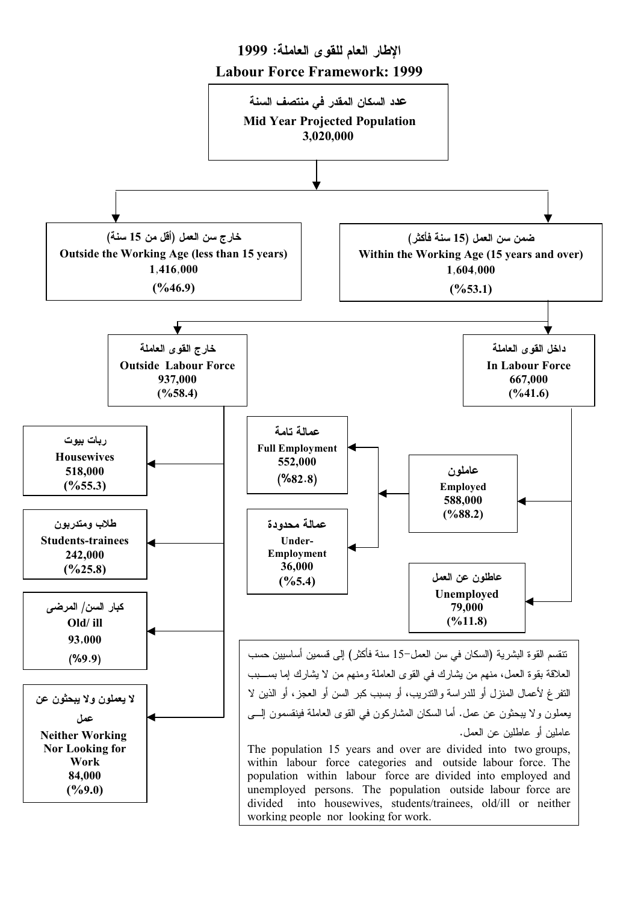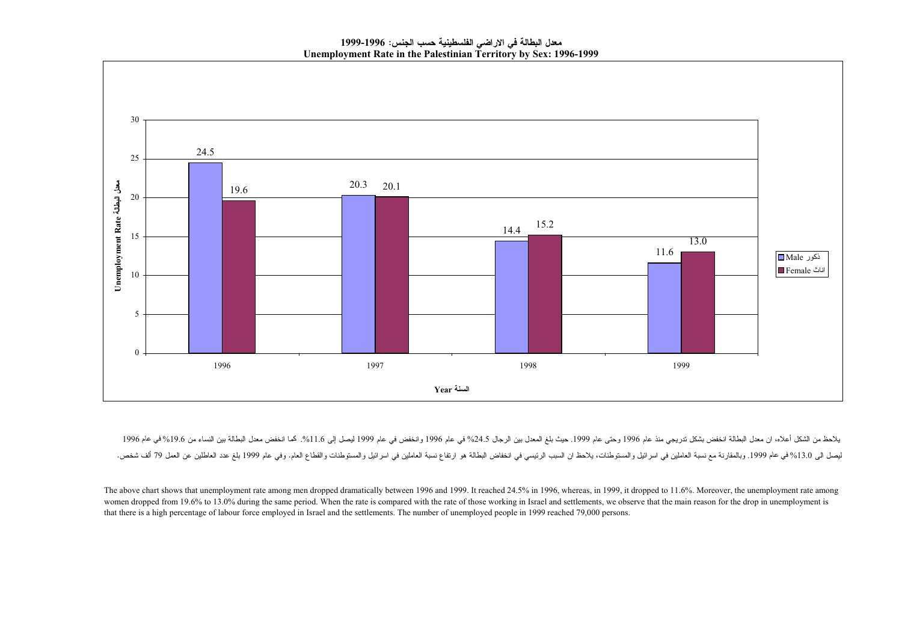معدل البطالة في الاراضي الفلسطينية حسب الجنس: 1996-1999 Unemployment Rate in the Palestinian Territory by Sex: 1996-1999



يلاحظ من الشكل أعلاه، ان معدل البطالة انخفض بشكل تدريجي منذ عام 1996 وحتى عام 1996 وسلم المعال بو 1996 وانخفض في عام 1996 وانخفض في عام 1996 وانخفض معلى البطالة بين النساء من 19.6% في عام 1996 وانخفض معلى البطالة بين النسا ليصل الى 13.0% في عام 1999. وبالمقارنة مع نسبة العاملين فى اسرائيل والمستوطنات، يلاحظ ان السبب الرئيسي في الرئيسي في التخاض البطالة هو ارتفاع نسبة العاملين في اسرائيل والمستوطنات والقطاع العام. وفي عام 1999 بلغ عدد العاطلي

The above chart shows that unemployment rate among men dropped dramatically between 1996 and 1999. It reached 24.5% in 1996, whereas, in 1999, it dropped to 11.6%. Moreover, the unemployment rate among women dropped from 19.6% to 13.0% during the same period. When the rate is compared with the rate of those working in Israel and settlements, we observe that the main reason for the drop in unemployment is that there is a high percentage of labour force employed in Israel and the settlements. The number of unemployed people in 1999 reached 79,000 persons.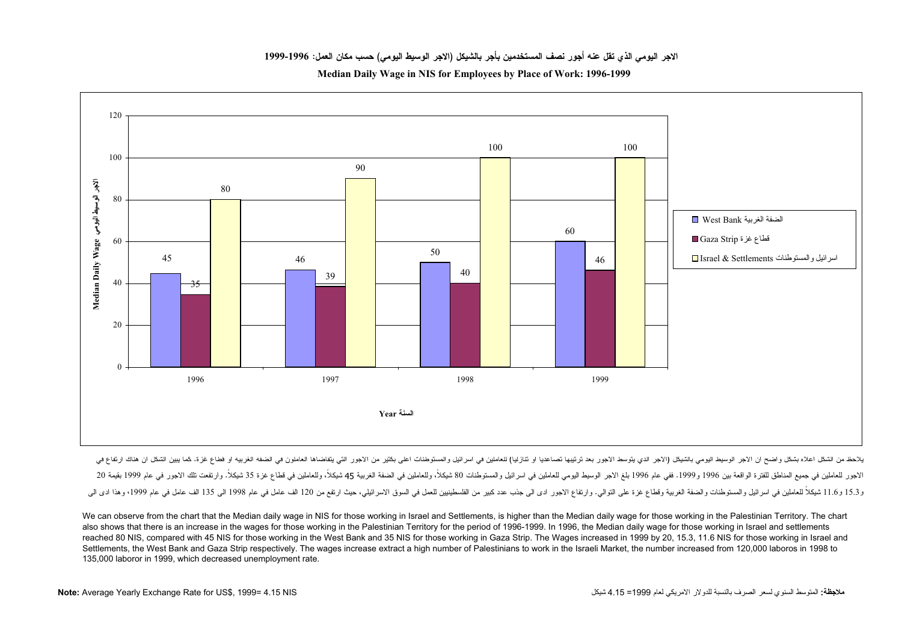الإجر اليومي الذي تقل عنه أجور انصف المستخدمين بأجر بالشيكل (الإجر الوسيط اليومي) حسب مكان العمل: 1996-1999

Median Daily Wage in NIS for Employees by Place of Work: 1996-1999



بلاحظ من الشكل واضح ان الاجر الوسيط اليومى بالشيكل (الاجر الذي يتوسط الاجرر بعد ترتيبها تصاعديا او تتازليا) للعاملين في اسرائيل والمستوطنات اعلى بكثير من الاجرر التى يتقاضاها العاملون فى الضفة الغربية او قطاع غزة. كما يبين الاجور للعاملين في جميع المناطق للفترة الواقعة بين 1996 وفع وعام 1996 بلغ الاجر الوسول العاملين في اسرائيل والمستوطنات 80 شيكلاً، وللعاملين في الضفة الغربية 45 شيكلاً، وللعاملين في فطاع غزة 35 شيكلاً، والرتفعت تلك الاجرر ف و15.3 شيكلاً للعاملين في اسر ائيل والمستوطنات والضفة الغربية وقطاع غزة على القام العام والتحامل العام المستولين المعل السرق الأسرائيلي، حيث ارتفع من 120 الف عامل في عام 1998 الى 135 الف عامل في عام 1998 الى 135 الف عامل في

We can observe from the chart that the Median daily wage in NIS for those working in Israel and Settlements, is higher than the Median daily wage for those working in the Palestinian Territory. The chart also shows that there is an increase in the wages for those working in the Palestinian Territory for the period of 1996-1999. In 1996, the Median daily wage for those working in Israel and settlements reached 80 NIS, compared with 45 NIS for those working in the West Bank and 35 NIS for those working in Gaza Strip. The Wages increased in 1999 by 20, 15.3, 11.6 NIS for those working in Israel and Settlements, the West Bank and Gaza Strip respectively. The wages increase extract a high number of Palestinians to work in the Israeli Market, the number increased from 120,000 laboros in 1998 to 135,000 laboror in 1999, which decreased unemployment rate.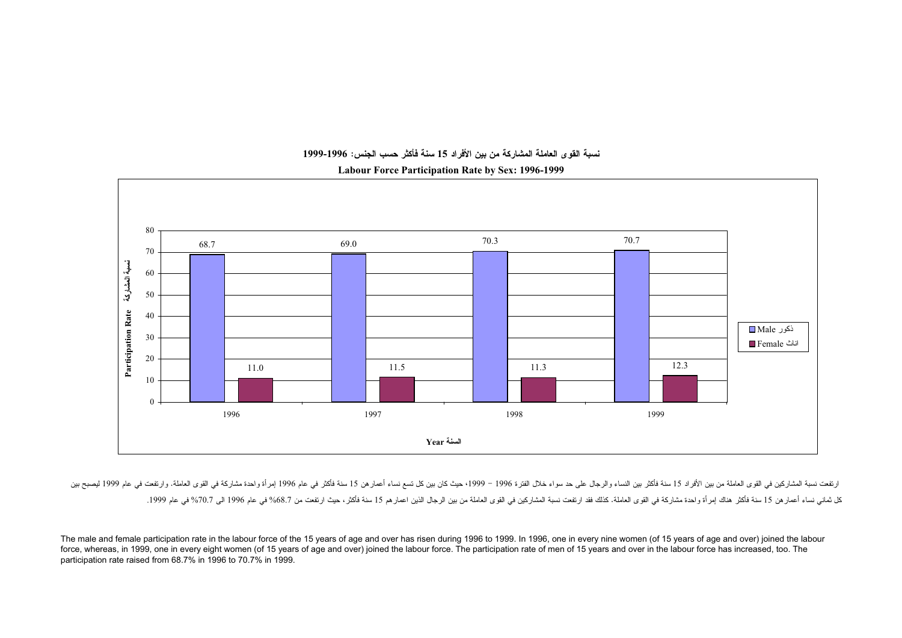

## نسبة القوى العاملة المشاركة من بين الأفراد 15 سنة فأكثر حسب الجنس: 1996-1999

Labour Force Participation Rate by Sex: 1996-1999

ارتفعت نسبة المشاركين في القوى العاملة سن الأفراد 15 سنة فأكثر بين النساء والربعال على 1996 موسع 1999 حيث كان بين كل تسم نساء أعمارهن 15 سنة فأكثر في عام 1996 إمرأة واحدة مشاركة في القوى العاملة. وارتفعت في عام 1999 إسراء .<br>كل ثماني نساء أعمار هن 15 سنة فأكثر هناك إمرأة واحدة مشاركة في القوى المشاركين في الغرب القاس القوى العاملة من بين الرجال الذين النوى العاملة من بين الرجال الذين اعمار هم 15 سنة فأكثر ، حيث ارتفعت من 68.7% في عام 1996 ا

The male and female participation rate in the labour force of the 15 years of age and over has risen during 1996 to 1999. In 1996, one in every nine women (of 15 years of age and over) joined the labour force, whereas, in 1999, one in every eight women (of 15 years of age and over) joined the labour force. The participation rate of men of 15 years and over in the labour force has increased, too. The participation rate raised from 68.7% in 1996 to 70.7% in 1999.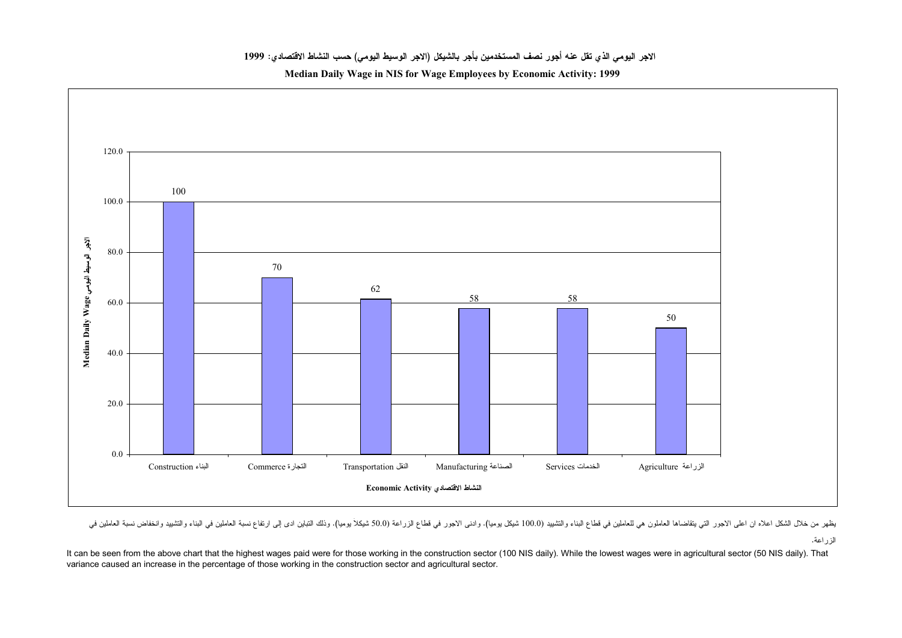Median Daily Wage in NIS for Wage Employees by Economic Activity: 1999



.<br>يظهر من خلال الشكل اعلاه ان اعلى الإجور التي يتقاضاها العاملون هي العاملين في العلم المعلم التواس المعلم المجور في قطاع الزراعة (100 سيكلأ يوميا)، وذلك التباين ادي إلى ارتفاع نسبة العاملين في المعلم المعلم المعلم المعلم

الزراعة.

It can be seen from the above chart that the highest wages paid were for those working in the construction sector (100 NIS daily). While the lowest wages were in agricultural sector (50 NIS daily). That variance caused an increase in the percentage of those working in the construction sector and agricultural sector.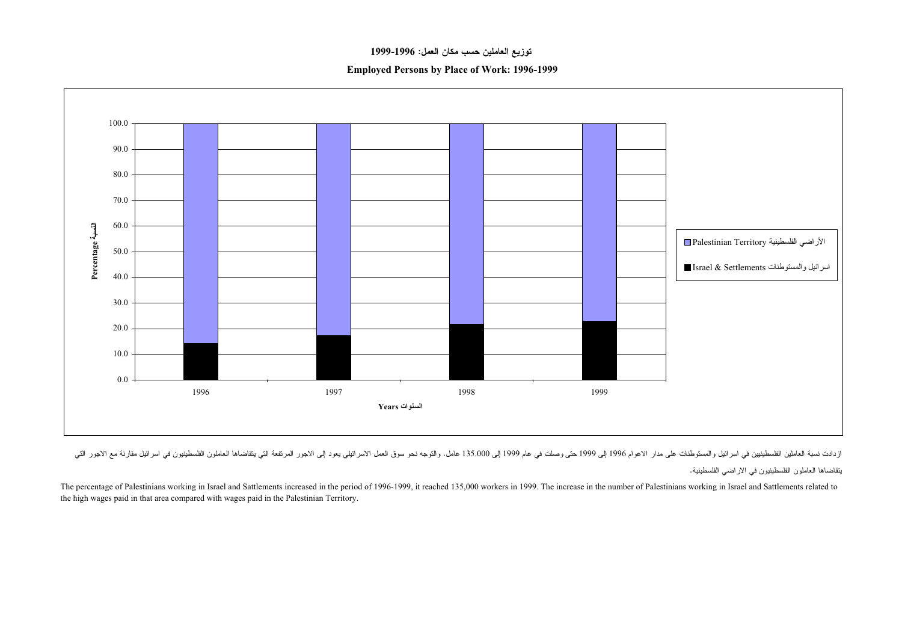## توزيع العاملين حسب مكان العمل: 1996-1999

**Employed Persons by Place of Work: 1996-1999** 



ازدادت نسبة العاملين الفلسطينيين في اسرائيل والمستوطنات على مدار الاعوام 1996 إلى 1999 والتي الجر التوجه نحو سوق العمل الاسرائيلي يعود إلى الاجور المرتفعة التي يتقاضاها العاملون الفلسطينيين في اسرائيل مقارنة مع الاجرر الدر

يتقاضاها العاملون الفلسطينيون في الاراضي الفلسطينية.

The percentage of Palestinians working in Israel and Sattlements increased in the period of 1996-1999, it reached 135,000 workers in 1999. The increase in the number of Palestinians working in Israel and Sattlements relate the high wages paid in that area compared with wages paid in the Palestinian Territory.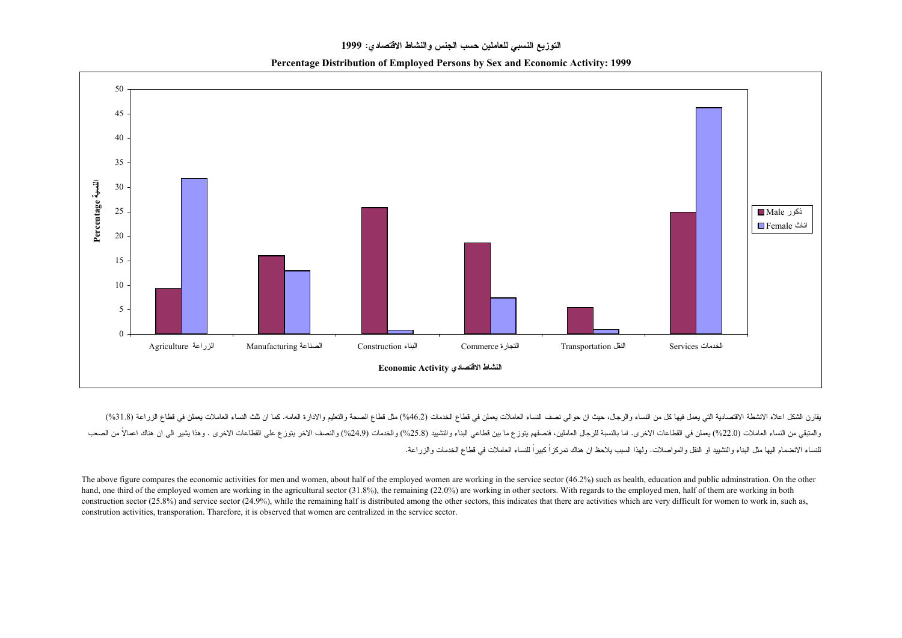Percentage Distribution of Employed Persons by Sex and Economic Activity: 1999



يقارن الشكل اعلاه الانشطة الاقتصادية التي يعمل فيها كل من النساء والرجال، حيث ان حوالي نصف النساء العاملات يعملن في قطاع الخدمات (6.46%) مثل قطاع الصحة والتعليم والادارة العامه. كما ان ثلث النساء العاملات يعمل في قطاع الزر .<br>والعتبقي من النساء العاملات (22.0%) يعملن في القطاعات الاخرى. اما بالنسبة للرجال العاملين، فضعفهم يتوزع ما بين قطاعي البناء والتثنييد (25.8%) والخدمات (24.9%) والنصف الاخر يتوزع على القطاعات الاخرى . وهذا يشير الى ان هن .<br>للنساء الانضمام اليها مثل البناء والنشييد او النقل والمواصلات. ولهذا السبب يلاحظ ان هناك تمركزاً كبيراً للنساء العاملات في قطاع الخدمات والزراعة.

The above figure compares the economic activities for men and women, about half of the employed women are working in the service sector (46.2%) such as health, education and public adminstration. On the other hand, one third of the employed women are working in the agricultural sector (31.8%), the remaining (22.0%) are working in other sectors. With regards to the employed men, half of them are working in both construction sector (25.8%) and service sector (24.9%), while the remaining half is distributed among the other sectors, this indicates that there are activities which are very difficult for women to work in, such as, constrution activities, transporation. Tharefore, it is observed that women are centralized in the service sector.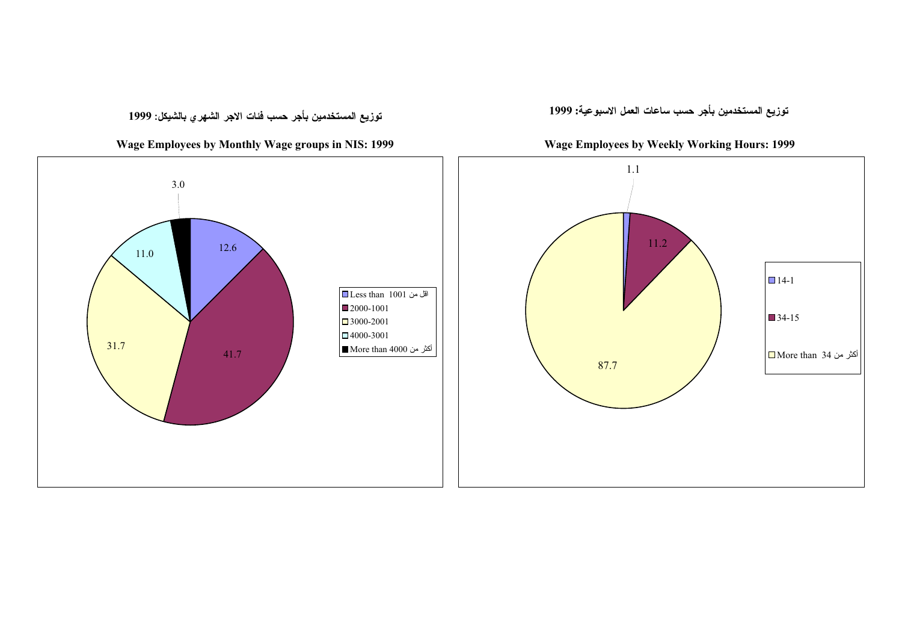توزيع المستخدمين بأجر حسب فئات الاجر الشهرى بالشيكل: 1999

Wage Employees by Monthly Wage groups in NIS: 1999

توزيع المستخدمين بأجر حسب ساعات العمل الاسبوعية: 1999

Wage Employees by Weekly Working Hours: 1999